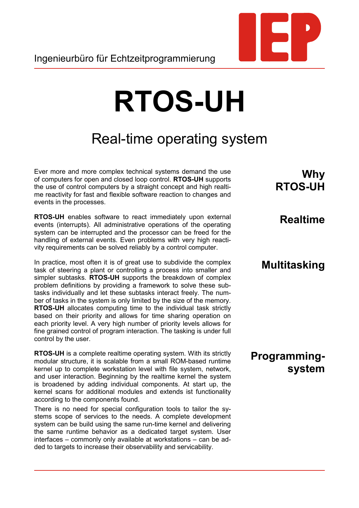

# Real-time operating system

Ever more and more complex technical systems demand the use of computers for open and closed loop control. **RTOS-UH** supports the use of control computers by a straight concept and high realtime reactivity for fast and flexible software reaction to changes and events in the processes.

**RTOS-UH** enables software to react immediately upon external events (interrupts). All administrative operations of the operating system can be interrupted and the processor can be freed for the handling of external events. Even problems with very high reactivity requirements can be solved reliably by a control computer.

In practice, most often it is of great use to subdivide the complex task of steering a plant or controlling a process into smaller and simpler subtasks. **RTOS-UH** supports the breakdown of complex problem definitions by providing a framework to solve these subtasks individually and let these subtasks interact freely. The number of tasks in the system is only limited by the size of the memory. **RTOS-UH** allocates computing time to the individual task strictly based on their priority and allows for time sharing operation on each priority level. A very high number of priority levels allows for fine grained control of program interaction. The tasking is under full control by the user.

**RTOS-UH** is a complete realtime operating system. With its strictly modular structure, it is scalable from a small ROM-based runtime kernel up to complete workstation level with file system, network, and user interaction. Beginning by the realtime kernel the system is broadened by adding individual components. At start up, the kernel scans for additional modules and extends ist functionality according to the components found.

There is no need for special configuration tools to tailor the systems scope of services to the needs. A complete development system can be build using the same run-time kernel and delivering the same runtime behavior as a dedicated target system. User interfaces – commonly only available at workstations – can be added to targets to increase their observability and servicability.

**Why RTOS-UH**

#### **Realtime**

#### **Multitasking**

**Programmingsystem**

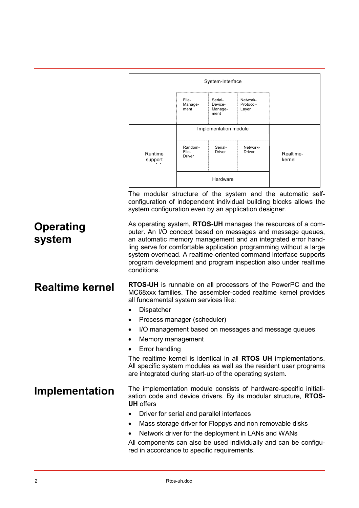|                            | System-Interface                                                                                                                                                                                                                                                                                                                                                                                                                                                                                                              |                            |                                       |                                |                                                                                                                                                                                                                                                                     |  |
|----------------------------|-------------------------------------------------------------------------------------------------------------------------------------------------------------------------------------------------------------------------------------------------------------------------------------------------------------------------------------------------------------------------------------------------------------------------------------------------------------------------------------------------------------------------------|----------------------------|---------------------------------------|--------------------------------|---------------------------------------------------------------------------------------------------------------------------------------------------------------------------------------------------------------------------------------------------------------------|--|
|                            |                                                                                                                                                                                                                                                                                                                                                                                                                                                                                                                               | File-<br>Manage-<br>ment   | Serial-<br>Device-<br>Manage-<br>ment | Network-<br>Protocol-<br>Layer |                                                                                                                                                                                                                                                                     |  |
|                            |                                                                                                                                                                                                                                                                                                                                                                                                                                                                                                                               | Implementation module      |                                       |                                |                                                                                                                                                                                                                                                                     |  |
|                            | Runtime<br>support                                                                                                                                                                                                                                                                                                                                                                                                                                                                                                            | Random-<br>File-<br>Driver | Serial-<br>Driver                     | Network-<br>Driver             | Realtime-<br>kernel                                                                                                                                                                                                                                                 |  |
|                            |                                                                                                                                                                                                                                                                                                                                                                                                                                                                                                                               | Hardware                   |                                       |                                |                                                                                                                                                                                                                                                                     |  |
|                            | system configuration even by an application designer.                                                                                                                                                                                                                                                                                                                                                                                                                                                                         |                            |                                       |                                | The modular structure of the system and the automatic self-<br>configuration of independent individual building blocks allows the                                                                                                                                   |  |
| <b>Operating</b><br>system | As operating system, RTOS-UH manages the resources of a com-<br>puter. An I/O concept based on messages and message queues,<br>an automatic memory management and an integrated error hand-<br>ling serve for comfortable application programming without a large<br>system overhead. A realtime-oriented command interface supports<br>program development and program inspection also under realtime<br>conditions.                                                                                                         |                            |                                       |                                |                                                                                                                                                                                                                                                                     |  |
| <b>Realtime kernel</b>     | <b>RTOS-UH</b> is runnable on all processors of the PowerPC and the<br>MC68xxx families. The assembler-coded realtime kernel provides<br>all fundamental system services like:<br>Dispatcher<br>Process manager (scheduler)<br>I/O management based on messages and message queues<br>Memory management<br>Error handling<br>The realtime kernel is identical in all RTOS UH implementations.<br>All specific system modules as well as the resident user programs<br>are integrated during start-up of the operating system. |                            |                                       |                                |                                                                                                                                                                                                                                                                     |  |
| Implementation             | <b>UH</b> offers<br>Driver for serial and parallel interfaces<br>Network driver for the deployment in LANs and WANs<br>red in accordance to specific requirements.                                                                                                                                                                                                                                                                                                                                                            |                            |                                       |                                | The implementation module consists of hardware-specific initiali-<br>sation code and device drivers. By its modular structure, RTOS-<br>Mass storage driver for Floppys and non removable disks<br>All components can also be used individually and can be configu- |  |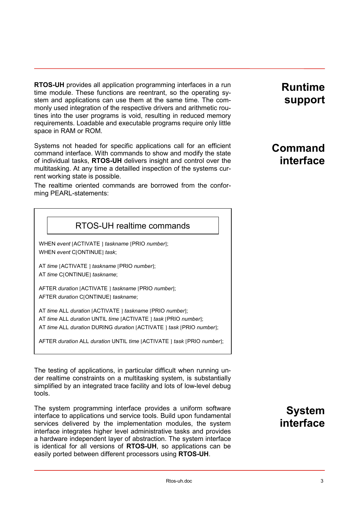**RTOS-UH** provides all application programming interfaces in a run time module. These functions are reentrant, so the operating system and applications can use them at the same time. The commonly used integration of the respective drivers and arithmetic routines into the user programs is void, resulting in reduced memory requirements. Loadable and executable programs require only little space in RAM or ROM.

Systems not headed for specific applications call for an efficient command interface. With commands to show and modify the state of individual tasks, **RTOS-UH** delivers insight and control over the multitasking. At any time a detailled inspection of the systems current working state is possible.

The realtime oriented commands are borrowed from the conforming PEARL-statements:

#### RTOS-UH realtime commands

WHEN *event* [ACTIVATE ] *taskname* [PRIO *number*]; WHEN *event* C[ONTINUE] *task*;

AT *time* [ACTIVATE ] *taskname* [PRIO *number*]; AT *time* C[ONTINUE] *taskname*;

AFTER *duration* [ACTIVATE ] *taskname* [PRIO *number*]; AFTER *duration* C[ONTINUE] *taskname*;

AT *time* ALL *duration* [ACTIVATE ] *taskname* [PRIO *number*]; AT *time* ALL *duration* UNTIL *time* [ACTIVATE ] *task* [PRIO *number*]; AT *time* ALL *duration* DURING *duration* [ACTIVATE ] *task* [PRIO *number*];

AFTER *duration* ALL *duration* UNTIL *time* [ACTIVATE ] *task* [PRIO *number*];

The testing of applications, in particular difficult when running under realtime constraints on a multitasking system, is substantially simplified by an integrated trace facility and lots of low-level debug tools.

The system programming interface provides a uniform software interface to applications und service tools. Build upon fundamental services delivered by the implementation modules, the system interface integrates higher level administrative tasks and provides a hardware independent layer of abstraction. The system interface is identical for all versions of **RTOS-UH**, so applications can be easily ported between different processors using **RTOS-UH**.

# **System interface**

# **Runtime support**

# **Command interface**